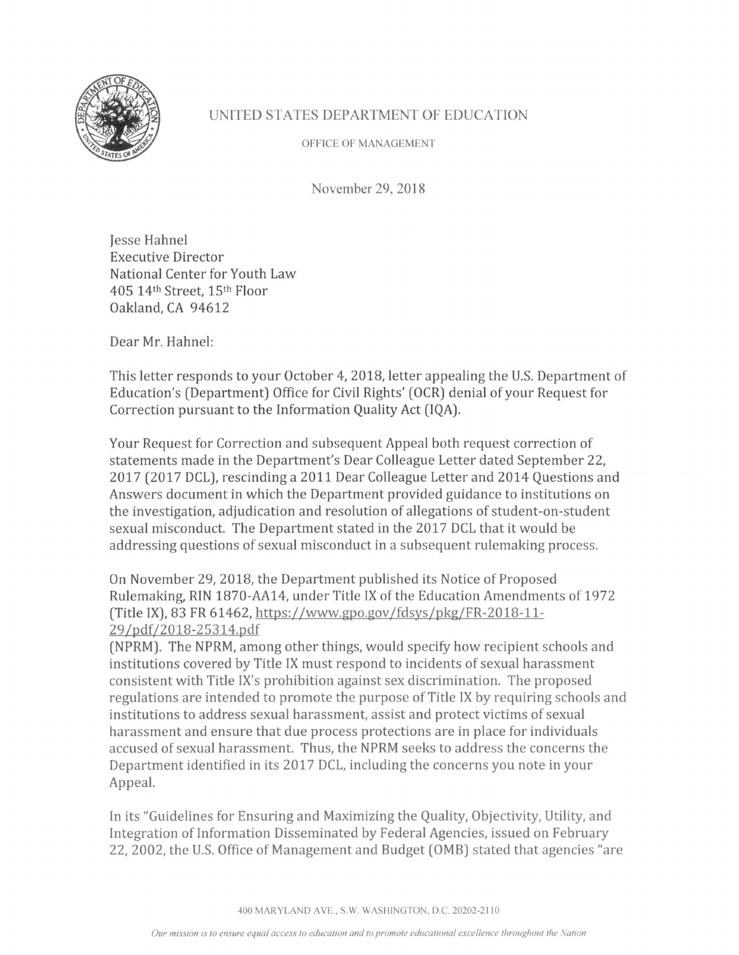

## UNITED STATES DEPARTMENT OF EDUCATION

OFFICE OF MANAGEMENT

November 29, 2018

Jesse Hahne! Executive Director National Center for Youth Law 405 14th Street, 15th Floor Oakland, CA 94612

Dear Mr. Hahne!:

This letter responds to your October 4, 2018, letter appealing the U.S. Department of Education's (Department) Office for Civil Rights' (OCR) denial of your Request for Correction pursuant to the Information Quality Act (IQA).

Your Request for Correction and subsequent Appeal both request correction of statements made in the Department's Dear Colleague Letter dated September 22, 2017 (2017 DCL), rescinding a 2011 Dear Colleague Letter and 2014 Questions and Answers document in which the Department provided guidance to institutions on the investigation, adjudication and resolution of allegations of student-on-student sexual misconduct. The Department stated in the 2017 DCL that it would be addressing questions of sexual misconduct in a subsequent rulemaking process.

On November 29, 2018, the Department published its Notice of Proposed Rulemaking, RIN 1870-AA14, under Title IX of the Education Amendments of 1972 (Title IX), 83 FR 61462, https://www.gpo.gov/fdsys/pkg/FR-2018-11- 29 /pdf/2018-25314.pdf

(NPRM). The NPRM, among other things, would specify how recipient schools and institutions covered by Title IX must respond to incidents of sexual harassment consistent with Title IX's prohibition against sex discrimination. The proposed regulations are intended to promote the purpose of Title IX by requiring schools and institutions to address sexual harassment, assist and protect victims of sexual harassment and ensure that due process protections are in place for individuals accused of sexual harassment. Thus, the NPRM seeks to address the concerns the Department identified in its 2017 DCL, including the concerns you note in your Appeal.

In its "Guidelines for Ensuring and Maximizing the Quality, Objectivity, Utility, and Integration of Information Disseminated by Federal Agencies, issued on February 22, 2002, the U.S. Office of Management and Budget (0MB) stated that agencies "are

400 MARYLAND AVE., S.W. WASHINGTON, D.C. 20202-21 IO